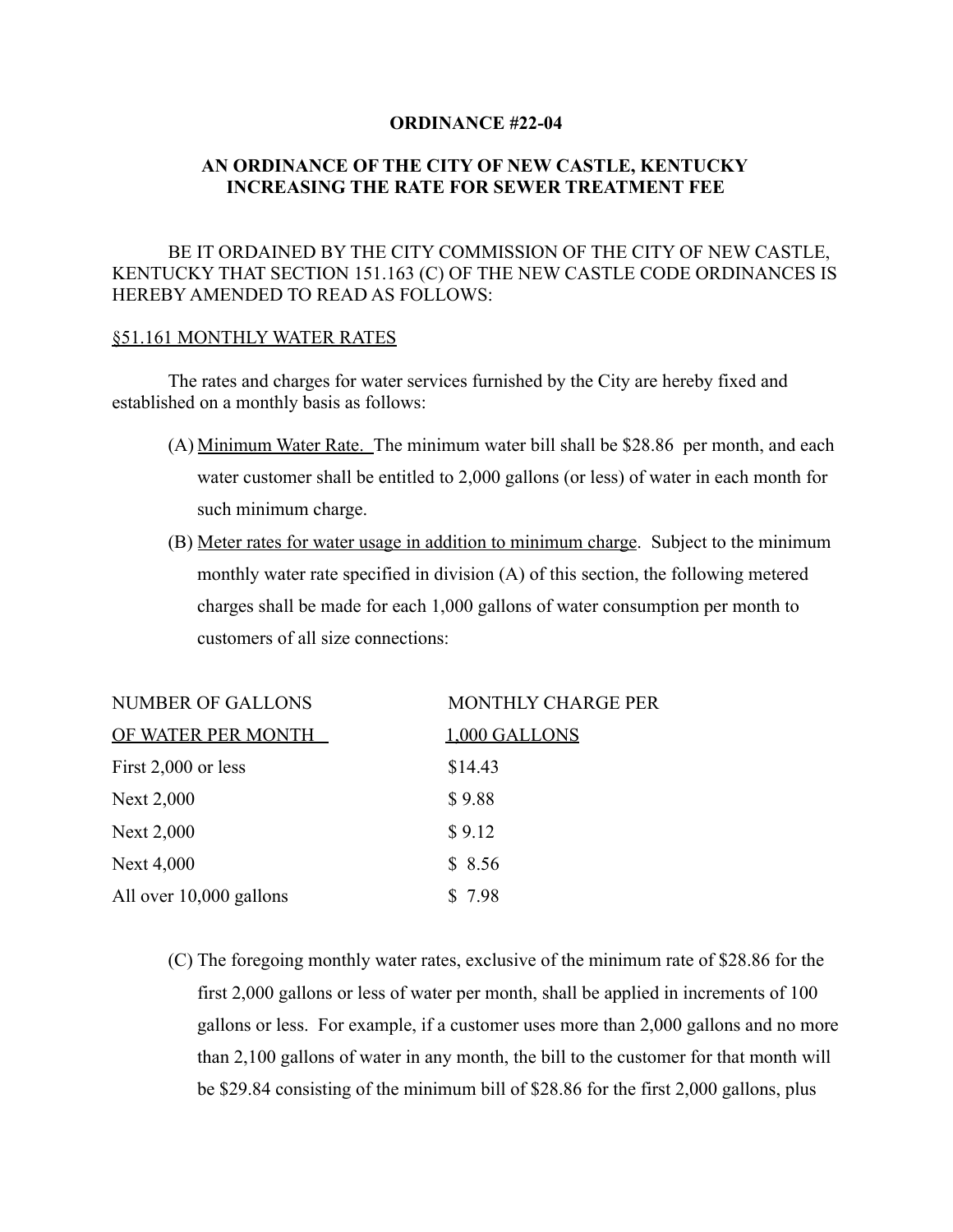#### **ORDINANCE #22-04**

## **AN ORDINANCE OF THE CITY OF NEW CASTLE, KENTUCKY INCREASING THE RATE FOR SEWER TREATMENT FEE**

## BE IT ORDAINED BY THE CITY COMMISSION OF THE CITY OF NEW CASTLE, KENTUCKY THAT SECTION 151.163 (C) OF THE NEW CASTLE CODE ORDINANCES IS HEREBY AMENDED TO READ AS FOLLOWS:

#### §51.161 MONTHLY WATER RATES

The rates and charges for water services furnished by the City are hereby fixed and established on a monthly basis as follows:

- (A) Minimum Water Rate. The minimum water bill shall be \$28.86 per month, and each water customer shall be entitled to 2,000 gallons (or less) of water in each month for such minimum charge.
- (B) Meter rates for water usage in addition to minimum charge. Subject to the minimum monthly water rate specified in division (A) of this section, the following metered charges shall be made for each 1,000 gallons of water consumption per month to customers of all size connections:

| <b>NUMBER OF GALLONS</b> | <b>MONTHLY CHARGE PER</b> |
|--------------------------|---------------------------|
| OF WATER PER MONTH       | 1,000 GALLONS             |
| First 2,000 or less      | \$14.43                   |
| Next 2,000               | \$9.88                    |
| Next 2,000               | \$9.12                    |
| Next 4,000               | \$8.56                    |
| All over 10,000 gallons  | \$7.98                    |

(C) The foregoing monthly water rates, exclusive of the minimum rate of \$28.86 for the first 2,000 gallons or less of water per month, shall be applied in increments of 100 gallons or less. For example, if a customer uses more than 2,000 gallons and no more than 2,100 gallons of water in any month, the bill to the customer for that month will be \$29.84 consisting of the minimum bill of \$28.86 for the first 2,000 gallons, plus